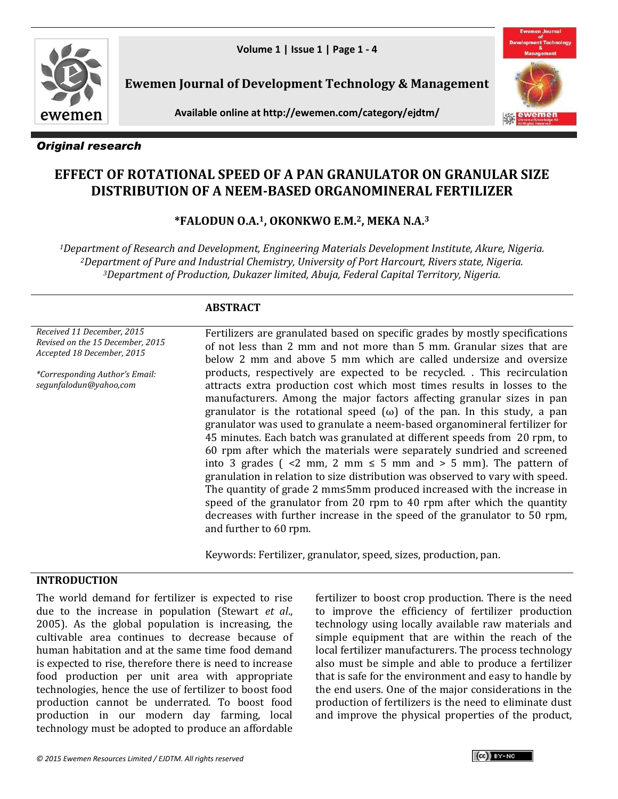

**Ewemen Journal of Development Technology & Management**





*Original research*

# **EFFECT OF ROTATIONAL SPEED OF A PAN GRANULATOR ON GRANULAR SIZE DISTRIBUTION OF A NEEM-BASED ORGANOMINERAL FERTILIZER**

# **\*FALODUN O.A. <sup>1</sup>, OKONKWO E.M.2, MEKA N.A.<sup>3</sup>**

*<sup>1</sup>Department of Research and Development, Engineering Materials Development Institute, Akure, Nigeria. <sup>2</sup>Department of Pure and Industrial Chemistry, University of Port Harcourt, Rivers state, Nigeria. <sup>3</sup>Department of Production, Dukazer limited, Abuja, Federal Capital Territory, Nigeria.*

## **ABSTRACT**

*Received 11 December, 2015 Revised on the 15 December, 2015 Accepted 18 December, 2015*

*\*Corresponding Author's Email: segunfalodun@yahoo,com*

Fertilizers are granulated based on specific grades by mostly specifications of not less than 2 mm and not more than 5 mm. Granular sizes that are below 2 mm and above 5 mm which are called undersize and oversize products, respectively are expected to be recycled. . This recirculation attracts extra production cost which most times results in losses to the manufacturers. Among the major factors affecting granular sizes in pan granulator is the rotational speed  $(\omega)$  of the pan. In this study, a pan granulator was used to granulate a neem-based organomineral fertilizer for 45 minutes. Each batch was granulated at different speeds from 20 rpm, to 60 rpm after which the materials were separately sundried and screened into 3 grades (  $\lt 2$  mm, 2 mm  $\leq 5$  mm and  $> 5$  mm). The pattern of granulation in relation to size distribution was observed to vary with speed. The quantity of grade 2 mm≤5mm produced increased with the increase in speed of the granulator from 20 rpm to 40 rpm after which the quantity decreases with further increase in the speed of the granulator to 50 rpm, and further to 60 rpm.

Keywords: Fertilizer, granulator, speed, sizes, production, pan.

## **INTRODUCTION**

The world demand for fertilizer is expected to rise due to the increase in population (Stewart *et al*., 2005). As the global population is increasing, the cultivable area continues to decrease because of human habitation and at the same time food demand is expected to rise, therefore there is need to increase food production per unit area with appropriate technologies, hence the use of fertilizer to boost food production cannot be underrated. To boost food production in our modern day farming, local technology must be adopted to produce an affordable

fertilizer to boost crop production. There is the need to improve the efficiency of fertilizer production technology using locally available raw materials and simple equipment that are within the reach of the local fertilizer manufacturers. The process technology also must be simple and able to produce a fertilizer that is safe for the environment and easy to handle by the end users. One of the major considerations in the production of fertilizers is the need to eliminate dust and improve the physical properties of the product,

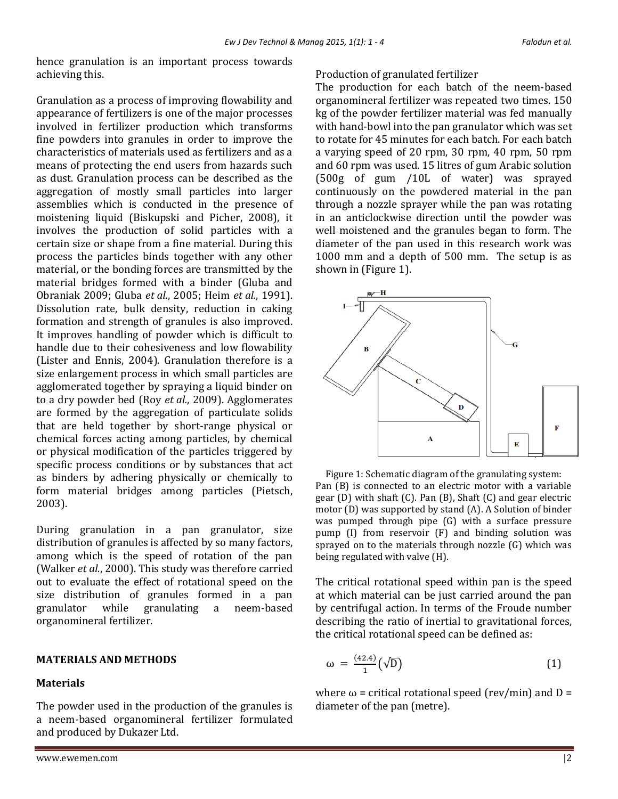hence granulation is an important process towards achieving this.

Granulation as a process of improving flowability and appearance of fertilizers is one of the major processes involved in fertilizer production which transforms fine powders into granules in order to improve the characteristics of materials used as fertilizers and as a means of protecting the end users from hazards such as dust. Granulation process can be described as the aggregation of mostly small particles into larger assemblies which is conducted in the presence of moistening liquid (Biskupski and Picher, 2008), it involves the production of solid particles with a certain size or shape from a fine material. During this process the particles binds together with any other material, or the bonding forces are transmitted by the material bridges formed with a binder (Gluba and Obraniak 2009; Gluba *et al.*, 2005; Heim *et al.*, 1991). Dissolution rate, bulk density, reduction in caking formation and strength of granules is also improved. It improves handling of powder which is difficult to handle due to their cohesiveness and low flowability (Lister and Ennis, 2004). Granulation therefore is a size enlargement process in which small particles are agglomerated together by spraying a liquid binder on to a dry powder bed (Roy *et al.*, 2009). Agglomerates are formed by the aggregation of particulate solids that are held together by short-range physical or chemical forces acting among particles, by chemical or physical modification of the particles triggered by specific process conditions or by substances that act as binders by adhering physically or chemically to form material bridges among particles (Pietsch, 2003).

During granulation in a pan granulator, size distribution of granules is affected by so many factors, among which is the speed of rotation of the pan (Walker *et al.*, 2000). This study was therefore carried out to evaluate the effect of rotational speed on the size distribution of granules formed in a pan granulator while granulating a neem-based organomineral fertilizer.

#### **MATERIALS AND METHODS**

#### **Materials**

The powder used in the production of the granules is a neem-based organomineral fertilizer formulated and produced by Dukazer Ltd.

Production of granulated fertilizer

The production for each batch of the neem-based organomineral fertilizer was repeated two times. 150 kg of the powder fertilizer material was fed manually with hand-bowl into the pan granulator which was set to rotate for 45 minutes for each batch. For each batch a varying speed of 20 rpm, 30 rpm, 40 rpm, 50 rpm and 60 rpm was used. 15 litres of gum Arabic solution (500g of gum /10L of water) was sprayed continuously on the powdered material in the pan through a nozzle sprayer while the pan was rotating in an anticlockwise direction until the powder was well moistened and the granules began to form. The diameter of the pan used in this research work was 1000 mm and a depth of 500 mm. The setup is as shown in (Figure 1).



Figure 1: Schematic diagram of the granulating system: Pan (B) is connected to an electric motor with a variable gear (D) with shaft (C). Pan (B), Shaft (C) and gear electric motor (D) was supported by stand (A). A Solution of binder was pumped through pipe (G) with a surface pressure pump (I) from reservoir (F) and binding solution was sprayed on to the materials through nozzle (G) which was being regulated with valve (H).

The critical rotational speed within pan is the speed at which material can be just carried around the pan by centrifugal action. In terms of the Froude number describing the ratio of inertial to gravitational forces, the critical rotational speed can be defined as:

$$
\omega = \frac{(42.4)}{1} (\sqrt{D}) \tag{1}
$$

where  $\omega$  = critical rotational speed (rev/min) and D = diameter of the pan (metre).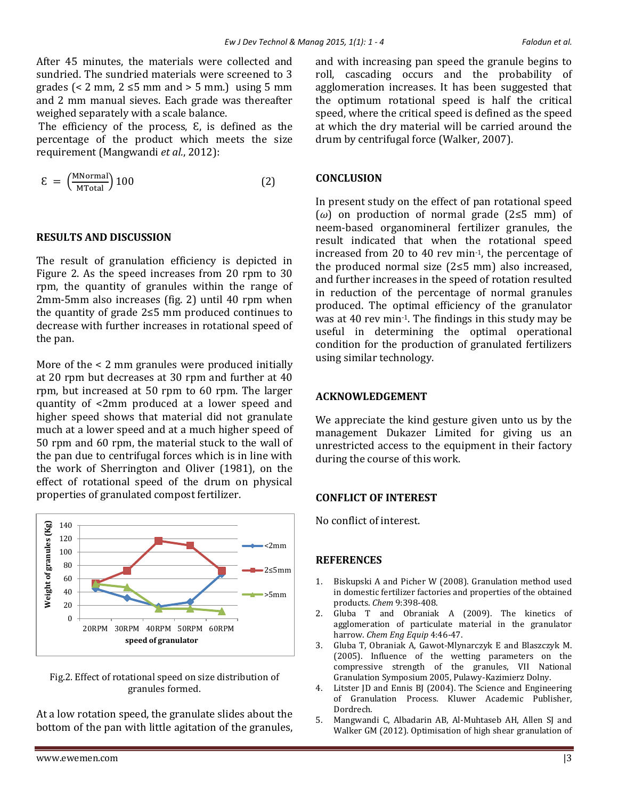After 45 minutes, the materials were collected and sundried. The sundried materials were screened to 3 grades (< 2 mm,  $2 \le 5$  mm and > 5 mm.) using 5 mm and 2 mm manual sieves. Each grade was thereafter weighed separately with a scale balance.

The efficiency of the process,  $\epsilon$ , is defined as the percentage of the product which meets the size requirement (Mangwandi *et al.*, 2012):

$$
\mathcal{E} = \left(\frac{\text{MNormal}}{\text{MTotal}}\right) 100\tag{2}
$$

#### **RESULTS AND DISCUSSION**

The result of granulation efficiency is depicted in Figure 2. As the speed increases from 20 rpm to 30 rpm, the quantity of granules within the range of 2mm-5mm also increases (fig. 2) until 40 rpm when the quantity of grade 2≤5 mm produced continues to decrease with further increases in rotational speed of the pan.

More of the < 2 mm granules were produced initially at 20 rpm but decreases at 30 rpm and further at 40 rpm, but increased at 50 rpm to 60 rpm. The larger quantity of <2mm produced at a lower speed and higher speed shows that material did not granulate much at a lower speed and at a much higher speed of 50 rpm and 60 rpm, the material stuck to the wall of the pan due to centrifugal forces which is in line with the work of Sherrington and Oliver (1981), on the effect of rotational speed of the drum on physical properties of granulated compost fertilizer.



Fig.2. Effect of rotational speed on size distribution of granules formed.

At a low rotation speed, the granulate slides about the bottom of the pan with little agitation of the granules, and with increasing pan speed the granule begins to roll, cascading occurs and the probability of agglomeration increases. It has been suggested that the optimum rotational speed is half the critical speed, where the critical speed is defined as the speed at which the dry material will be carried around the drum by centrifugal force (Walker, 2007).

#### **CONCLUSION**

In present study on the effect of pan rotational speed (*ω*) on production of normal grade (2≤5 mm) of neem-based organomineral fertilizer granules, the result indicated that when the rotational speed increased from 20 to 40 rev min-1, the percentage of the produced normal size (2≤5 mm) also increased, and further increases in the speed of rotation resulted in reduction of the percentage of normal granules produced. The optimal efficiency of the granulator was at 40 rev min-1. The findings in this study may be useful in determining the optimal operational condition for the production of granulated fertilizers using similar technology.

#### **ACKNOWLEDGEMENT**

We appreciate the kind gesture given unto us by the management Dukazer Limited for giving us an unrestricted access to the equipment in their factory during the course of this work.

#### **CONFLICT OF INTEREST**

No conflict of interest.

#### **REFERENCES**

- 1. Biskupski A and Picher W (2008). Granulation method used in domestic fertilizer factories and properties of the obtained products. *Chem* 9:398-408.
- 2. Gluba T and Obraniak A (2009). The kinetics of agglomeration of particulate material in the granulator harrow. *Chem Eng Equip* 4:46-47.
- 3. Gluba T, Obraniak A, Gawot-Mlynarczyk E and Blaszczyk M. (2005). Influence of the wetting parameters on the compressive strength of the granules, VII National Granulation Symposium 2005, Pulawy-Kazimierz Dolny.
- 4. Litster JD and Ennis BJ (2004). The Science and Engineering of Granulation Process. Kluwer Academic Publisher, Dordrech.
- 5. Mangwandi C, Albadarin AB, Al-Muhtaseb AH, Allen SJ and Walker GM (2012). Optimisation of high shear granulation of